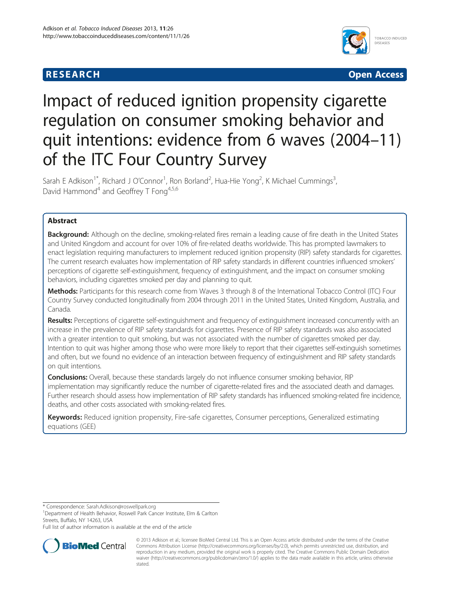## **RESEARCH CHILD CONTROL** CONTROL CONTROL CONTROL CONTROL CONTROL CONTROL CONTROL CONTROL CONTROL CONTROL CONTROL CONTROL CONTROL CONTROL CONTROL CONTROL CONTROL CONTROL CONTROL CONTROL CONTROL CONTROL CONTROL CONTROL CONTR



# Impact of reduced ignition propensity cigarette regulation on consumer smoking behavior and quit intentions: evidence from 6 waves (2004–11) of the ITC Four Country Survey

Sarah E Adkison<sup>1\*</sup>, Richard J O'Connor<sup>1</sup>, Ron Borland<sup>2</sup>, Hua-Hie Yong<sup>2</sup>, K Michael Cummings<sup>3</sup> , David Hammond<sup>4</sup> and Geoffrey T Fong<sup>4,5,6</sup>

## Abstract

Background: Although on the decline, smoking-related fires remain a leading cause of fire death in the United States and United Kingdom and account for over 10% of fire-related deaths worldwide. This has prompted lawmakers to enact legislation requiring manufacturers to implement reduced ignition propensity (RIP) safety standards for cigarettes. The current research evaluates how implementation of RIP safety standards in different countries influenced smokers' perceptions of cigarette self-extinguishment, frequency of extinguishment, and the impact on consumer smoking behaviors, including cigarettes smoked per day and planning to quit.

Methods: Participants for this research come from Waves 3 through 8 of the International Tobacco Control (ITC) Four Country Survey conducted longitudinally from 2004 through 2011 in the United States, United Kingdom, Australia, and Canada.

Results: Perceptions of cigarette self-extinguishment and frequency of extinguishment increased concurrently with an increase in the prevalence of RIP safety standards for cigarettes. Presence of RIP safety standards was also associated with a greater intention to quit smoking, but was not associated with the number of cigarettes smoked per day. Intention to quit was higher among those who were more likely to report that their cigarettes self-extinguish sometimes and often, but we found no evidence of an interaction between frequency of extinguishment and RIP safety standards on quit intentions.

Conclusions: Overall, because these standards largely do not influence consumer smoking behavior, RIP implementation may significantly reduce the number of cigarette-related fires and the associated death and damages. Further research should assess how implementation of RIP safety standards has influenced smoking-related fire incidence, deaths, and other costs associated with smoking-related fires.

Keywords: Reduced ignition propensity, Fire-safe cigarettes, Consumer perceptions, Generalized estimating equations (GEE)

\* Correspondence: [Sarah.Adkison@roswellpark.org](mailto:Sarah.Adkison@roswellpark.org) <sup>1</sup>

<sup>1</sup>Department of Health Behavior, Roswell Park Cancer Institute, Elm & Carlton Streets, Buffalo, NY 14263, USA

Full list of author information is available at the end of the article



© 2013 Adkison et al.; licensee BioMed Central Ltd. This is an Open Access article distributed under the terms of the Creative Commons Attribution License [\(http://creativecommons.org/licenses/by/2.0\)](http://creativecommons.org/licenses/by/2.0), which permits unrestricted use, distribution, and reproduction in any medium, provided the original work is properly cited. The Creative Commons Public Domain Dedication waiver [\(http://creativecommons.org/publicdomain/zero/1.0/\)](http://creativecommons.org/publicdomain/zero/1.0/) applies to the data made available in this article, unless otherwise stated.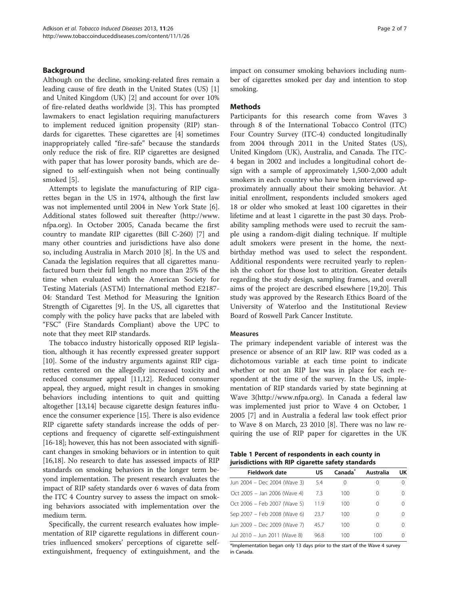## <span id="page-1-0"></span>Background

Although on the decline, smoking-related fires remain a leading cause of fire death in the United States (US) [\[1](#page-6-0)] and United Kingdom (UK) [\[2](#page-6-0)] and account for over 10% of fire-related deaths worldwide [[3\]](#page-6-0). This has prompted lawmakers to enact legislation requiring manufacturers to implement reduced ignition propensity (RIP) standards for cigarettes. These cigarettes are [[4\]](#page-6-0) sometimes inappropriately called "fire-safe" because the standards only reduce the risk of fire. RIP cigarettes are designed with paper that has lower porosity bands, which are designed to self-extinguish when not being continually smoked [\[5](#page-6-0)].

Attempts to legislate the manufacturing of RIP cigarettes began in the US in 1974, although the first law was not implemented until 2004 in New York State [\[6](#page-6-0)]. Additional states followed suit thereafter ([http://www.](http://www.nfpa.org/) [nfpa.org](http://www.nfpa.org/)). In October 2005, Canada became the first country to mandate RIP cigarettes (Bill C-260) [\[7\]](#page-6-0) and many other countries and jurisdictions have also done so, including Australia in March 2010 [\[8\]](#page-6-0). In the US and Canada the legislation requires that all cigarettes manufactured burn their full length no more than 25% of the time when evaluated with the American Society for Testing Materials (ASTM) International method E2187- 04: Standard Test Method for Measuring the Ignition Strength of Cigarettes [[9\]](#page-6-0). In the US, all cigarettes that comply with the policy have packs that are labeled with "FSC" (Fire Standards Compliant) above the UPC to note that they meet RIP standards.

The tobacco industry historically opposed RIP legislation, although it has recently expressed greater support [[10\]](#page-6-0). Some of the industry arguments against RIP cigarettes centered on the allegedly increased toxicity and reduced consumer appeal [\[11,12](#page-6-0)]. Reduced consumer appeal, they argued, might result in changes in smoking behaviors including intentions to quit and quitting altogether [\[13,14\]](#page-6-0) because cigarette design features influence the consumer experience [\[15\]](#page-6-0). There is also evidence RIP cigarette safety standards increase the odds of perceptions and frequency of cigarette self-extinguishment [[16](#page-6-0)-[18\]](#page-6-0); however, this has not been associated with significant changes in smoking behaviors or in intention to quit [[16,18](#page-6-0)]. No research to date has assessed impacts of RIP standards on smoking behaviors in the longer term beyond implementation. The present research evaluates the impact of RIP safety standards over 6 waves of data from the ITC 4 Country survey to assess the impact on smoking behaviors associated with implementation over the medium term.

Specifically, the current research evaluates how implementation of RIP cigarette regulations in different countries influenced smokers' perceptions of cigarette selfextinguishment, frequency of extinguishment, and the impact on consumer smoking behaviors including number of cigarettes smoked per day and intention to stop smoking.

## Methods

Participants for this research come from Waves 3 through 8 of the International Tobacco Control (ITC) Four Country Survey (ITC-4) conducted longitudinally from 2004 through 2011 in the United States (US), United Kingdom (UK), Australia, and Canada. The ITC-4 began in 2002 and includes a longitudinal cohort design with a sample of approximately 1,500-2,000 adult smokers in each country who have been interviewed approximately annually about their smoking behavior. At initial enrollment, respondents included smokers aged 18 or older who smoked at least 100 cigarettes in their lifetime and at least 1 cigarette in the past 30 days. Probability sampling methods were used to recruit the sample using a random-digit dialing technique. If multiple adult smokers were present in the home, the nextbirthday method was used to select the respondent. Additional respondents were recruited yearly to replenish the cohort for those lost to attrition. Greater details regarding the study design, sampling frames, and overall aims of the project are described elsewhere [\[19,20\]](#page-6-0). This study was approved by the Research Ethics Board of the University of Waterloo and the Institutional Review Board of Roswell Park Cancer Institute.

## Measures

The primary independent variable of interest was the presence or absence of an RIP law. RIP was coded as a dichotomous variable at each time point to indicate whether or not an RIP law was in place for each respondent at the time of the survey. In the US, implementation of RIP standards varied by state beginning at Wave 3([http://www.nfpa.org](http://www.nfpa.org/)). In Canada a federal law was implemented just prior to Wave 4 on October, 1 2005 [\[7](#page-6-0)] and in Australia a federal law took effect prior to Wave 8 on March, 23 2010 [\[8](#page-6-0)]. There was no law requiring the use of RIP paper for cigarettes in the UK

Table 1 Percent of respondents in each county in jurisdictions with RIP cigarette safety standards

| Fieldwork date               | US   | Canada           | Australia        | UK               |
|------------------------------|------|------------------|------------------|------------------|
| Jun 2004 - Dec 2004 (Wave 3) | 5.4  | $\left( \right)$ | $\left( \right)$ |                  |
| Oct 2005 - Jan 2006 (Wave 4) | 7.3  | 100              | $\left( \right)$ |                  |
| Oct 2006 - Feb 2007 (Wave 5) | 11.9 | 100              | $\left( \right)$ | $\left( \right)$ |
| Sep 2007 - Feb 2008 (Wave 6) | 23.7 | 100              | $\left( \right)$ |                  |
| Jun 2009 - Dec 2009 (Wave 7) | 45.7 | 100              | $\left( \right)$ | $\left( \right)$ |
| Jul 2010 - Jun 2011 (Wave 8) | 96.8 | 100              | 100              |                  |

\*Implementation began only 13 days prior to the start of the Wave 4 survey in Canada.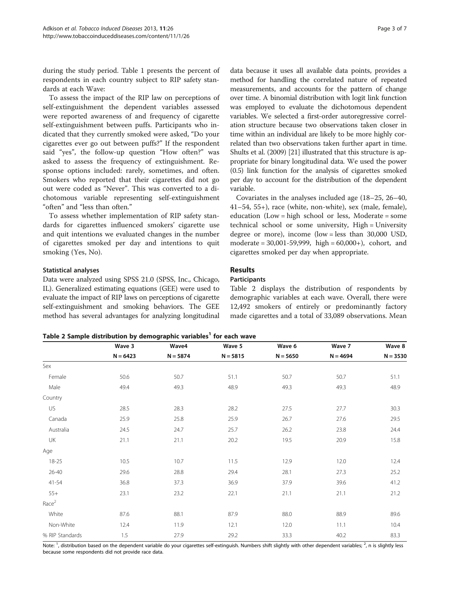during the study period. Table [1](#page-1-0) presents the percent of respondents in each country subject to RIP safety standards at each Wave:

To assess the impact of the RIP law on perceptions of self-extinguishment the dependent variables assessed were reported awareness of and frequency of cigarette self-extinguishment between puffs. Participants who indicated that they currently smoked were asked, "Do your cigarettes ever go out between puffs?" If the respondent said "yes", the follow-up question "How often?" was asked to assess the frequency of extinguishment. Response options included: rarely, sometimes, and often. Smokers who reported that their cigarettes did not go out were coded as "Never". This was converted to a dichotomous variable representing self-extinguishment "often" and "less than often."

To assess whether implementation of RIP safety standards for cigarettes influenced smokers' cigarette use and quit intentions we evaluated changes in the number of cigarettes smoked per day and intentions to quit smoking (Yes, No).

## Statistical analyses

Data were analyzed using SPSS 21.0 (SPSS, Inc., Chicago, IL). Generalized estimating equations (GEE) were used to evaluate the impact of RIP laws on perceptions of cigarette self-extinguishment and smoking behaviors. The GEE method has several advantages for analyzing longitudinal

data because it uses all available data points, provides a method for handling the correlated nature of repeated measurements, and accounts for the pattern of change over time. A binomial distribution with logit link function was employed to evaluate the dichotomous dependent variables. We selected a first-order autoregressive correlation structure because two observations taken closer in time within an individual are likely to be more highly correlated than two observations taken further apart in time. Shults et al. (2009) [[21](#page-6-0)] illustrated that this structure is appropriate for binary longitudinal data. We used the power (0.5) link function for the analysis of cigarettes smoked per day to account for the distribution of the dependent variable.

Covariates in the analyses included age (18–25, 26–40, 41–54, 55+), race (white, non-white), sex (male, female), education (Low = high school or less, Moderate = some technical school or some university, High = University degree or more), income (low = less than 30,000 USD, moderate = 30,001-59,999, high = 60,000+), cohort, and cigarettes smoked per day when appropriate.

## Results

## **Participants**

Table 2 displays the distribution of respondents by demographic variables at each wave. Overall, there were 12,492 smokers of entirely or predominantly factory made cigarettes and a total of 33,089 observations. Mean

Table 2 Sample distribution by demographic variables<sup>1</sup> for each wave

% RIP Standards **1.5** 27.9 29.2 33.3 40.2 83.3 Note: <sup>1</sup>, distribution based on the dependent variable do your cigarettes self-extinguish. Numbers shift slightly with other dependent variables; <sup>2</sup>, n is slightly less because some respondents did not provide race data.

|                   | Wave 3     | Wave4      | Wave 5     | Wave 6     | Wave 7     | Wave 8<br>$N = 3530$ |
|-------------------|------------|------------|------------|------------|------------|----------------------|
|                   | $N = 6423$ | $N = 5874$ | $N = 5815$ | $N = 5650$ | $N = 4694$ |                      |
| Sex               |            |            |            |            |            |                      |
| Female            | 50.6       | 50.7       | 51.1       | 50.7       | 50.7       | 51.1                 |
| Male              | 49.4       | 49.3       | 48.9       | 49.3       | 49.3       | 48.9                 |
| Country           |            |            |            |            |            |                      |
| US                | 28.5       | 28.3       | 28.2       | 27.5       | 27.7       | 30.3                 |
| Canada            | 25.9       | 25.8       | 25.9       | 26.7       | 27.6       | 29.5                 |
| Australia         | 24.5       | 24.7       | 25.7       | 26.2       | 23.8       | 24.4                 |
| UK                | 21.1       | 21.1       | 20.2       | 19.5       | 20.9       | 15.8                 |
| Age               |            |            |            |            |            |                      |
| 18-25             | 10.5       | 10.7       | 11.5       | 12.9       | 12.0       | 12.4                 |
| $26 - 40$         | 29.6       | 28.8       | 29.4       | 28.1       | 27.3       | 25.2                 |
| 41-54             | 36.8       | 37.3       | 36.9       | 37.9       | 39.6       | 41.2                 |
| $55+$             | 23.1       | 23.2       | 22.1       | 21.1       | 21.1       | 21.2                 |
| Race <sup>2</sup> |            |            |            |            |            |                      |
| White             | 87.6       | 88.1       | 87.9       | 88.0       | 88.9       | 89.6                 |
| Non-White         | 12.4       | 11.9       | 12.1       | 12.0       | 11.1       | 10.4                 |
| % RIP Standards   | 1.5        | 27.9       | 29.2       | 33.3       | 40.2       | 83.3                 |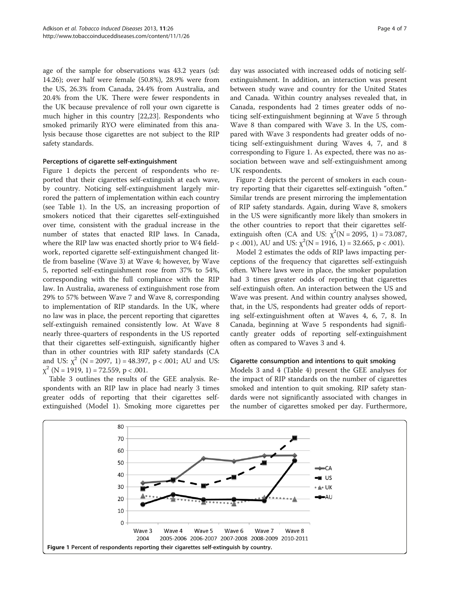age of the sample for observations was 43.2 years (sd: 14.26); over half were female (50.8%), 28.9% were from the US, 26.3% from Canada, 24.4% from Australia, and 20.4% from the UK. There were fewer respondents in the UK because prevalence of roll your own cigarette is much higher in this country [\[22,23](#page-6-0)]. Respondents who smoked primarily RYO were eliminated from this analysis because those cigarettes are not subject to the RIP safety standards.

## Perceptions of cigarette self-extinguishment

Figure 1 depicts the percent of respondents who reported that their cigarettes self-extinguish at each wave, by country. Noticing self-extinguishment largely mirrored the pattern of implementation within each country (see Table [1](#page-1-0)). In the US, an increasing proportion of smokers noticed that their cigarettes self-extinguished over time, consistent with the gradual increase in the number of states that enacted RIP laws. In Canada, where the RIP law was enacted shortly prior to W4 fieldwork, reported cigarette self-extinguishment changed little from baseline (Wave 3) at Wave 4; however, by Wave 5, reported self-extinguishment rose from 37% to 54%, corresponding with the full compliance with the RIP law. In Australia, awareness of extinguishment rose from 29% to 57% between Wave 7 and Wave 8, corresponding to implementation of RIP standards. In the UK, where no law was in place, the percent reporting that cigarettes self-extinguish remained consistently low. At Wave 8 nearly three-quarters of respondents in the US reported that their cigarettes self-extinguish, significantly higher than in other countries with RIP safety standards (CA and US:  $\chi^2$  (N = 2097, 1) = 48.397, p < .001; AU and US:  $\chi^2$  (N = 1919, 1) = 72.559, p < .001.

Table [3](#page-4-0) outlines the results of the GEE analysis. Respondents with an RIP law in place had nearly 3 times greater odds of reporting that their cigarettes selfextinguished (Model 1). Smoking more cigarettes per day was associated with increased odds of noticing selfextinguishment. In addition, an interaction was present between study wave and country for the United States and Canada. Within country analyses revealed that, in Canada, respondents had 2 times greater odds of noticing self-extinguishment beginning at Wave 5 through Wave 8 than compared with Wave 3. In the US, compared with Wave 3 respondents had greater odds of noticing self-extinguishment during Waves 4, 7, and 8 corresponding to Figure 1. As expected, there was no association between wave and self-extinguishment among UK respondents.

Figure [2](#page-4-0) depicts the percent of smokers in each country reporting that their cigarettes self-extinguish "often." Similar trends are present mirroring the implementation of RIP safety standards. Again, during Wave 8, smokers in the US were significantly more likely than smokers in the other countries to report that their cigarettes selfextinguish often (CA and US:  $\chi^2(N = 2095, 1) = 73.087$ ,  $p < .001$ ), AU and US:  $\chi^2(N = 1916, 1) = 32.665, p < .001$ ).

Model 2 estimates the odds of RIP laws impacting perceptions of the frequency that cigarettes self-extinguish often. Where laws were in place, the smoker population had 3 times greater odds of reporting that cigarettes self-extinguish often. An interaction between the US and Wave was present. And within country analyses showed, that, in the US, respondents had greater odds of reporting self-extinguishment often at Waves 4, 6, 7, 8. In Canada, beginning at Wave 5 respondents had significantly greater odds of reporting self-extinguishment often as compared to Waves 3 and 4.

### Cigarette consumption and intentions to quit smoking

Models 3 and 4 (Table [4\)](#page-5-0) present the GEE analyses for the impact of RIP standards on the number of cigarettes smoked and intention to quit smoking. RIP safety standards were not significantly associated with changes in the number of cigarettes smoked per day. Furthermore,

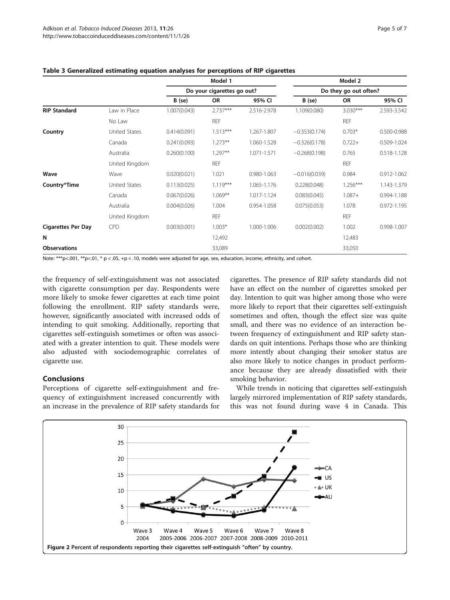|                           |                | Model 1      |                            |             | Model 2         |                       |             |  |  |
|---------------------------|----------------|--------------|----------------------------|-------------|-----------------|-----------------------|-------------|--|--|
|                           |                |              | Do your cigarettes go out? |             |                 | Do they go out often? |             |  |  |
|                           |                | B (se)       | OR                         | 95% CI      | $B$ (se)        | OR                    | 95% CI      |  |  |
| <b>RIP Standard</b>       | Law in Place   | 1.007(0.043) | $2.737***$                 | 2.516-2.978 | 1.109(0.080)    | $3.030***$            | 2.593-3.542 |  |  |
|                           | No Law         |              | <b>REF</b>                 |             |                 | <b>REF</b>            |             |  |  |
| Country                   | United States  | 0.414(0.091) | $1.513***$                 | 1.267-1.807 | $-0.353(0.174)$ | $0.703*$              | 0.500-0.988 |  |  |
|                           | Canada         | 0.241(0.093) | $1.273**$                  | 1.060-1.528 | $-0.326(0.178)$ | $0.722+$              | 0.509-1.024 |  |  |
|                           | Australia      | 0.260(0.100) | $1.297**$                  | 1.071-1.571 | $-0.268(0.198)$ | 0.765                 | 0.518-1.128 |  |  |
|                           | United Kingdom |              | <b>REF</b>                 |             |                 | <b>REF</b>            |             |  |  |
| Wave                      | Wave           | 0.020(0.021) | 1.021                      | 0.980-1.063 | $-0.016(0.039)$ | 0.984                 | 0.912-1.062 |  |  |
| Country*Time              | United States  | 0.113(0.025) | $1.119***$                 | 1.065-1.176 | 0.228(0.048)    | $1.256***$            | 1.143-1.379 |  |  |
|                           | Canada         | 0.067(0.026) | $1.069**$                  | 1.017-1.124 | 0.083(0.045)    | $1.087 +$             | 0.994-1.188 |  |  |
|                           | Australia      | 0.004(0.026) | 1.004                      | 0.954-1.058 | 0.075(0.053)    | 1.078                 | 0.972-1.195 |  |  |
|                           | United Kingdom |              | <b>REF</b>                 |             |                 | <b>REF</b>            |             |  |  |
| <b>Cigarettes Per Day</b> | <b>CPD</b>     | 0.003(0.001) | $1.003*$                   | 1.000-1.006 | 0.002(0.002)    | 1.002                 | 0.998-1.007 |  |  |
| N                         |                |              | 12,492                     |             |                 | 12,483                |             |  |  |
| <b>Observations</b>       |                |              | 33,089                     |             |                 | 33,050                |             |  |  |

## <span id="page-4-0"></span>Table 3 Generalized estimating equation analyses for perceptions of RIP cigarettes

Note: \*\*\*p<.001, \*\*p<.01, \* p < .05, +p < .10, models were adjusted for age, sex, education, income, ethnicity, and cohort.

the frequency of self-extinguishment was not associated with cigarette consumption per day. Respondents were more likely to smoke fewer cigarettes at each time point following the enrollment. RIP safety standards were, however, significantly associated with increased odds of intending to quit smoking. Additionally, reporting that cigarettes self-extinguish sometimes or often was associated with a greater intention to quit. These models were also adjusted with sociodemographic correlates of cigarette use.

## Conclusions

Perceptions of cigarette self-extinguishment and frequency of extinguishment increased concurrently with an increase in the prevalence of RIP safety standards for

cigarettes. The presence of RIP safety standards did not have an effect on the number of cigarettes smoked per day. Intention to quit was higher among those who were more likely to report that their cigarettes self-extinguish sometimes and often, though the effect size was quite small, and there was no evidence of an interaction between frequency of extinguishment and RIP safety standards on quit intentions. Perhaps those who are thinking more intently about changing their smoker status are also more likely to notice changes in product performance because they are already dissatisfied with their smoking behavior.

While trends in noticing that cigarettes self-extinguish largely mirrored implementation of RIP safety standards, this was not found during wave 4 in Canada. This

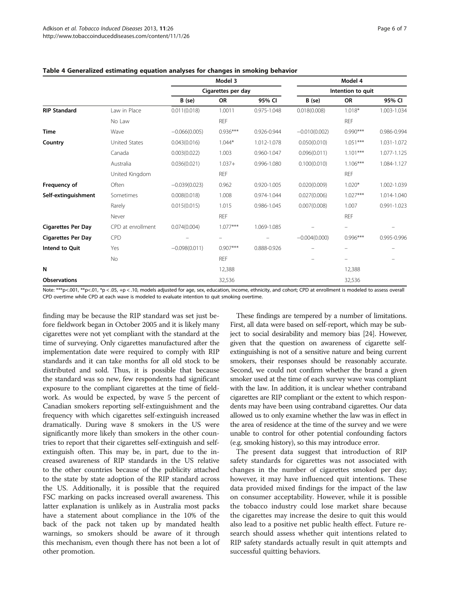|                           |                   |                    | Model 3                  |             |                   | Model 4    |             |  |
|---------------------------|-------------------|--------------------|--------------------------|-------------|-------------------|------------|-------------|--|
|                           |                   | Cigarettes per day |                          |             | Intention to quit |            |             |  |
|                           |                   | B (se)             | <b>OR</b>                | 95% CI      | B (se)            | <b>OR</b>  | 95% CI      |  |
| <b>RIP Standard</b>       | Law in Place      | 0.011(0.018)       | 1.0011                   | 0.975-1.048 | 0.018(0.008)      | $1.018*$   | 1.003-1.034 |  |
|                           | No Law            |                    | <b>REF</b>               |             |                   | <b>REF</b> |             |  |
| <b>Time</b>               | Wave              | $-0.066(0.005)$    | $0.936***$               | 0.926-0.944 | $-0.010(0.002)$   | $0.990***$ | 0.986-0.994 |  |
| Country                   | United States     | 0.043(0.016)       | $1.044*$                 | 1.012-1.078 | 0.050(0.010)      | $1.051***$ | 1.031-1.072 |  |
|                           | Canada            | 0.003(0.022)       | 1.003                    | 0.960-1.047 | 0.096(0.011)      | $1.101***$ | 1.077-1.125 |  |
|                           | Australia         | 0.036(0.021)       | $1.037+$                 | 0.996-1.080 | 0.100(0.010)      | $1.106***$ | 1.084-1.127 |  |
|                           | United Kingdom    |                    | <b>REF</b>               |             |                   | <b>REF</b> |             |  |
| Frequency of              | Often             | $-0.039(0.023)$    | 0.962                    | 0.920-1.005 | 0.020(0.009)      | $1.020*$   | 1.002-1.039 |  |
| Self-extinguishment       | Sometimes         | 0.008(0.018)       | 1.008                    | 0.974-1.044 | 0.027(0.006)      | $1.027***$ | 1.014-1.040 |  |
|                           | Rarely            | 0.015(0.015)       | 1.015                    | 0.986-1.045 | 0.007(0.008)      | 1.007      | 0.991-1.023 |  |
|                           | Never             |                    | <b>REF</b>               |             |                   | <b>REF</b> |             |  |
| <b>Cigarettes Per Day</b> | CPD at enrollment | 0.074(0.004)       | $1.077***$               | 1.069-1.085 |                   |            |             |  |
| <b>Cigarettes Per Day</b> | <b>CPD</b>        |                    | $\overline{\phantom{m}}$ |             | $-0.004(0.000)$   | $0.996***$ | 0.995-0.996 |  |
| Intend to Quit            | Yes               | $-0.098(0.011)$    | $0.907***$               | 0.888-0.926 |                   |            |             |  |
|                           | No                |                    | <b>REF</b>               |             |                   |            |             |  |
| N                         |                   |                    | 12,388                   |             |                   | 12,388     |             |  |
| <b>Observations</b>       |                   |                    | 32,536                   |             |                   | 32,536     |             |  |

## <span id="page-5-0"></span>Table 4 Generalized estimating equation analyses for changes in smoking behavior

Note: \*\*\*p<.001, \*\*p <.05, +p <.10, models adjusted for age, sex, education, income, ethnicity, and cohort; CPD at enrollment is modeled to assess overall CPD overtime while CPD at each wave is modeled to evaluate intention to quit smoking overtime.

finding may be because the RIP standard was set just before fieldwork began in October 2005 and it is likely many cigarettes were not yet compliant with the standard at the time of surveying. Only cigarettes manufactured after the implementation date were required to comply with RIP standards and it can take months for all old stock to be distributed and sold. Thus, it is possible that because the standard was so new, few respondents had significant exposure to the compliant cigarettes at the time of fieldwork. As would be expected, by wave 5 the percent of Canadian smokers reporting self-extinguishment and the frequency with which cigarettes self-extinguish increased dramatically. During wave 8 smokers in the US were significantly more likely than smokers in the other countries to report that their cigarettes self-extinguish and selfextinguish often. This may be, in part, due to the increased awareness of RIP standards in the US relative to the other countries because of the publicity attached to the state by state adoption of the RIP standard across the US. Additionally, it is possible that the required FSC marking on packs increased overall awareness. This latter explanation is unlikely as in Australia most packs have a statement about compliance in the 10% of the back of the pack not taken up by mandated health warnings, so smokers should be aware of it through this mechanism, even though there has not been a lot of other promotion.

These findings are tempered by a number of limitations. First, all data were based on self-report, which may be subject to social desirability and memory bias [\[24\]](#page-6-0). However, given that the question on awareness of cigarette selfextinguishing is not of a sensitive nature and being current smokers, their responses should be reasonably accurate. Second, we could not confirm whether the brand a given smoker used at the time of each survey wave was compliant with the law. In addition, it is unclear whether contraband cigarettes are RIP compliant or the extent to which respondents may have been using contraband cigarettes. Our data allowed us to only examine whether the law was in effect in the area of residence at the time of the survey and we were unable to control for other potential confounding factors (e.g. smoking history), so this may introduce error.

The present data suggest that introduction of RIP safety standards for cigarettes was not associated with changes in the number of cigarettes smoked per day; however, it may have influenced quit intentions. These data provided mixed findings for the impact of the law on consumer acceptability. However, while it is possible the tobacco industry could lose market share because the cigarettes may increase the desire to quit this would also lead to a positive net public health effect. Future research should assess whether quit intentions related to RIP safety standards actually result in quit attempts and successful quitting behaviors.